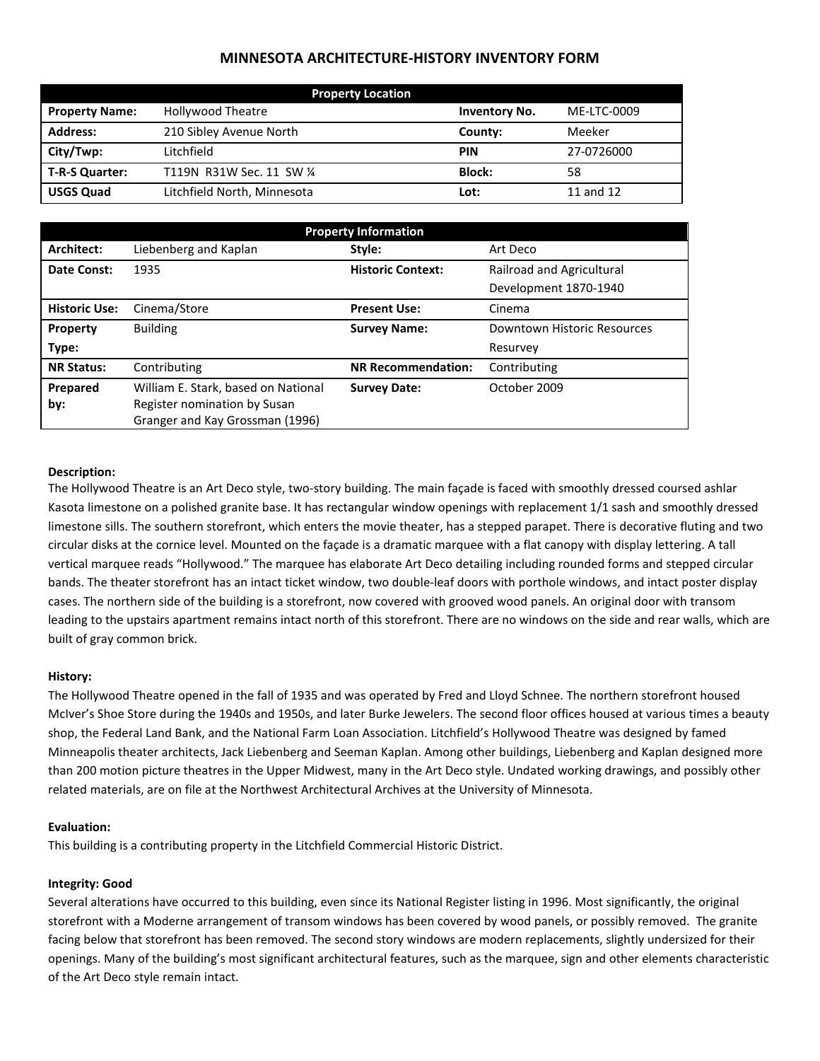# **MINNESOTA ARCHITECTURE-HISTORY INVENTORY FORM**

| <b>Property Location</b> |                             |                      |             |  |
|--------------------------|-----------------------------|----------------------|-------------|--|
| <b>Property Name:</b>    | <b>Hollywood Theatre</b>    | <b>Inventory No.</b> | ME-LTC-0009 |  |
| <b>Address:</b>          | 210 Sibley Avenue North     | County:              | Meeker      |  |
| City/Twp:                | Litchfield                  | <b>PIN</b>           | 27-0726000  |  |
| <b>T-R-S Quarter:</b>    | T119N R31W Sec. 11 SW 1/4   | <b>Block:</b>        | 58          |  |
| <b>USGS Quad</b>         | Litchfield North, Minnesota | Lot:                 | 11 and 12   |  |

| <b>Property Information</b> |                                     |                           |                             |  |
|-----------------------------|-------------------------------------|---------------------------|-----------------------------|--|
| Architect:                  | Liebenberg and Kaplan               | Style:                    | Art Deco                    |  |
| Date Const:                 | 1935                                | <b>Historic Context:</b>  | Railroad and Agricultural   |  |
|                             |                                     |                           | Development 1870-1940       |  |
| <b>Historic Use:</b>        | Cinema/Store                        | <b>Present Use:</b>       | Cinema                      |  |
| Property                    | <b>Building</b>                     | <b>Survey Name:</b>       | Downtown Historic Resources |  |
| Type:                       |                                     |                           | Resurvey                    |  |
| <b>NR Status:</b>           | Contributing                        | <b>NR Recommendation:</b> | Contributing                |  |
| Prepared                    | William E. Stark, based on National | <b>Survey Date:</b>       | October 2009                |  |
| by:                         | Register nomination by Susan        |                           |                             |  |
|                             | Granger and Kay Grossman (1996)     |                           |                             |  |

## **Description:**

The Hollywood Theatre is an Art Deco style, two-story building. The main façade is faced with smoothly dressed coursed ashlar Kasota limestone on a polished granite base. It has rectangular window openings with replacement 1/1 sash and smoothly dressed limestone sills. The southern storefront, which enters the movie theater, has a stepped parapet. There is decorative fluting and two circular disks at the cornice level. Mounted on the façade is a dramatic marquee with a flat canopy with display lettering. A tall vertical marquee reads "Hollywood." The marquee has elaborate Art Deco detailing including rounded forms and stepped circular bands. The theater storefront has an intact ticket window, two double-leaf doors with porthole windows, and intact poster display cases. The northern side of the building is a storefront, now covered with grooved wood panels. An original door with transom leading to the upstairs apartment remains intact north of this storefront. There are no windows on the side and rear walls, which are built of gray common brick.

#### **History:**

The Hollywood Theatre opened in the fall of 1935 and was operated by Fred and Lloyd Schnee. The northern storefront housed McIver's Shoe Store during the 1940s and 1950s, and later Burke Jewelers. The second floor offices housed at various times a beauty shop, the Federal Land Bank, and the National Farm Loan Association. Litchfield's Hollywood Theatre was designed by famed Minneapolis theater architects, Jack Liebenberg and Seeman Kaplan. Among other buildings, Liebenberg and Kaplan designed more than 200 motion picture theatres in the Upper Midwest, many in the Art Deco style. Undated working drawings, and possibly other related materials, are on file at the Northwest Architectural Archives at the University of Minnesota.

## **Evaluation:**

This building is a contributing property in the Litchfield Commercial Historic District.

## **Integrity: Good**

Several alterations have occurred to this building, even since its National Register listing in 1996. Most significantly, the original storefront with a Moderne arrangement of transom windows has been covered by wood panels, or possibly removed. The granite facing below that storefront has been removed. The second story windows are modern replacements, slightly undersized for their openings. Many of the building's most significant architectural features, such as the marquee, sign and other elements characteristic of the Art Deco style remain intact.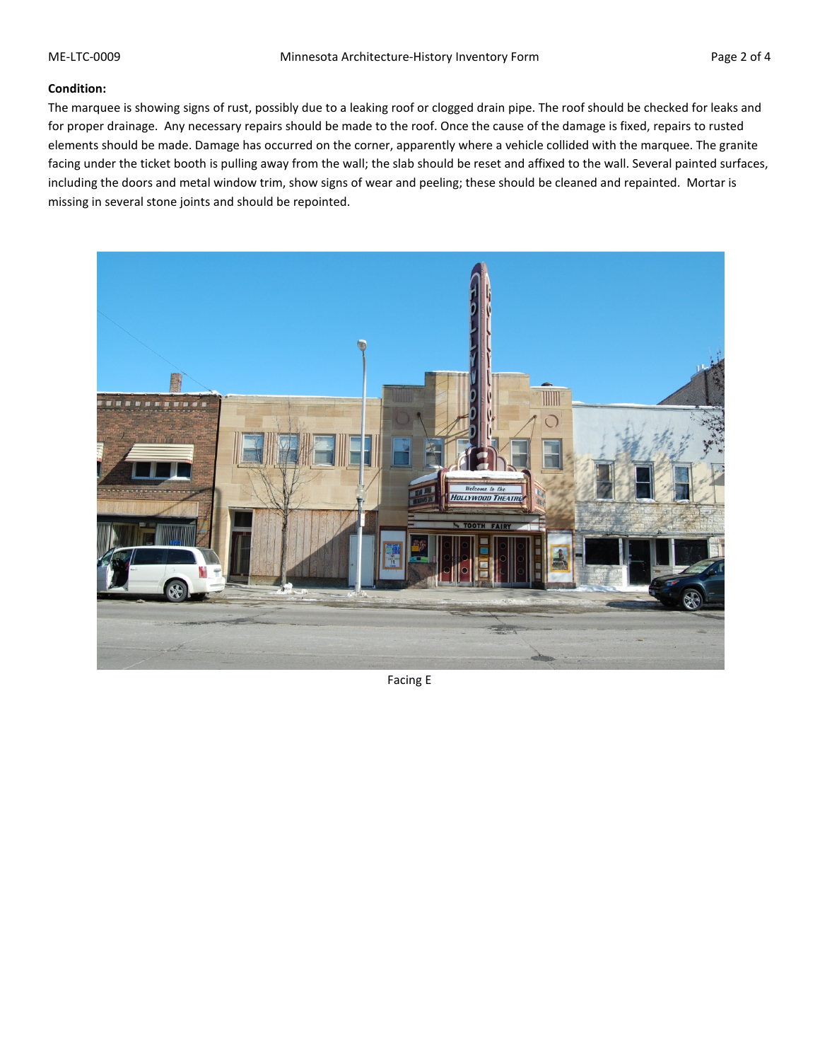#### **Condition:**

The marquee is showing signs of rust, possibly due to a leaking roof or clogged drain pipe. The roof should be checked for leaks and for proper drainage. Any necessary repairs should be made to the roof. Once the cause of the damage is fixed, repairs to rusted elements should be made. Damage has occurred on the corner, apparently where a vehicle collided with the marquee. The granite facing under the ticket booth is pulling away from the wall; the slab should be reset and affixed to the wall. Several painted surfaces, including the doors and metal window trim, show signs of wear and peeling; these should be cleaned and repainted. Mortar is missing in several stone joints and should be repointed.



Facing E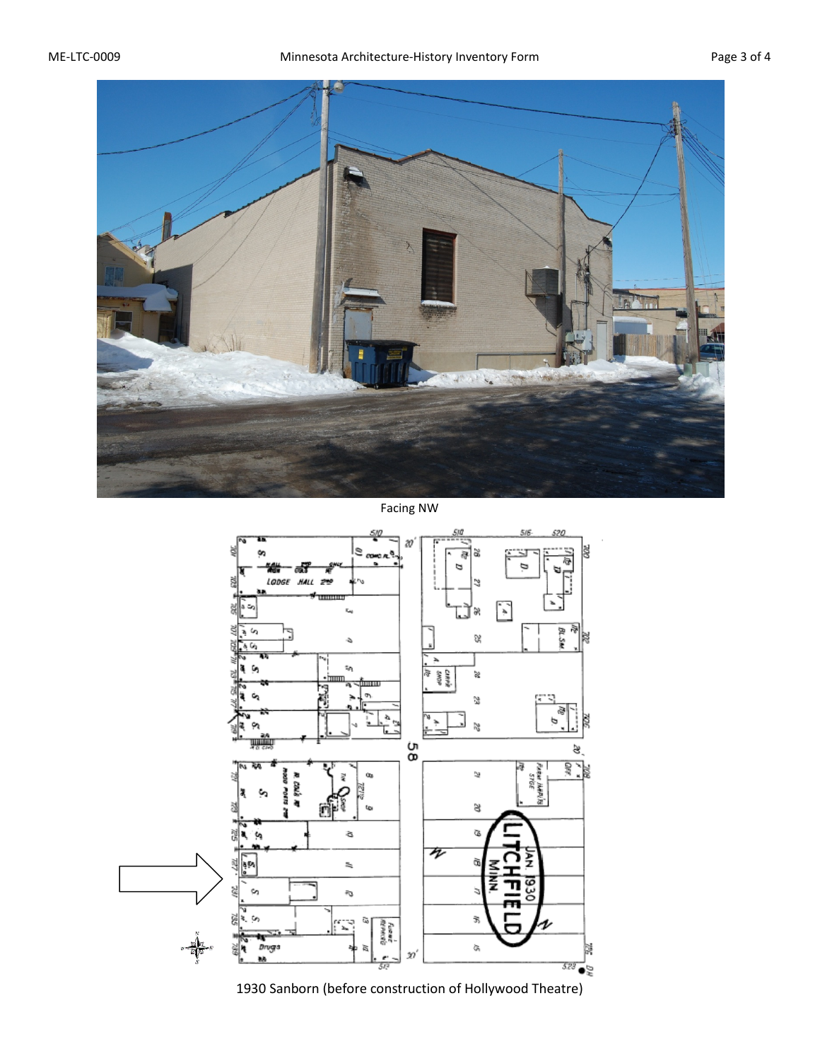

Facing NW



1930 Sanborn (before construction of Hollywood Theatre)